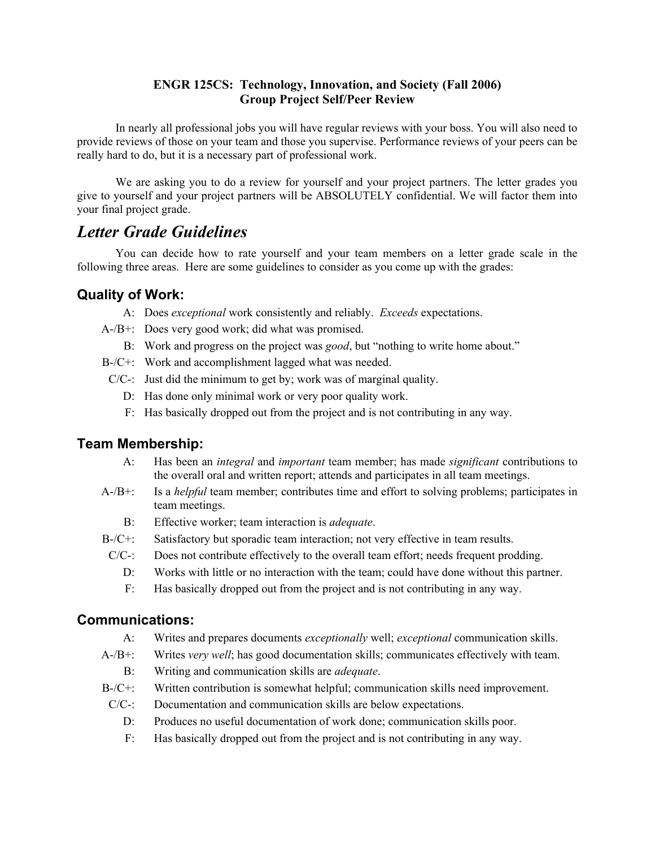#### **ENGR 125CS: Technology, Innovation, and Society (Fall 2006) Group Project Self/Peer Review**

In nearly all professional jobs you will have regular reviews with your boss. You will also need to provide reviews of those on your team and those you supervise. Performance reviews of your peers can be really hard to do, but it is a necessary part of professional work.

We are asking you to do a review for yourself and your project partners. The letter grades you give to yourself and your project partners will be ABSOLUTELY confidential. We will factor them into your final project grade.

## *Letter Grade Guidelines*

You can decide how to rate yourself and your team members on a letter grade scale in the following three areas. Here are some guidelines to consider as you come up with the grades:

### **Quality of Work:**

- A: Does *exceptional* work consistently and reliably. *Exceeds* expectations.
- A-/B+: Does very good work; did what was promised.
	- B: Work and progress on the project was *good*, but "nothing to write home about."
- B-/C+: Work and accomplishment lagged what was needed.
- C/C-: Just did the minimum to get by; work was of marginal quality.
	- D: Has done only minimal work or very poor quality work.
	- F: Has basically dropped out from the project and is not contributing in any way.

#### **Team Membership:**

- A: Has been an *integral* and *important* team member; has made *significant* contributions to the overall oral and written report; attends and participates in all team meetings.
- A-/B+: Is a *helpful* team member; contributes time and effort to solving problems; participates in team meetings.
	- B: Effective worker; team interaction is *adequate*.
- B-/C+: Satisfactory but sporadic team interaction; not very effective in team results.
- $C/C$ -: Does not contribute effectively to the overall team effort; needs frequent prodding.
	- D: Works with little or no interaction with the team; could have done without this partner.
	- F: Has basically dropped out from the project and is not contributing in any way.

#### **Communications:**

- A: Writes and prepares documents *exceptionally* well; *exceptional* communication skills.
- A-/B+: Writes *very well*; has good documentation skills; communicates effectively with team.
	- B: Writing and communication skills are *adequate*.
- B-/C+: Written contribution is somewhat helpful; communication skills need improvement.
- C/C-: Documentation and communication skills are below expectations.
	- D: Produces no useful documentation of work done; communication skills poor.
	- F: Has basically dropped out from the project and is not contributing in any way.